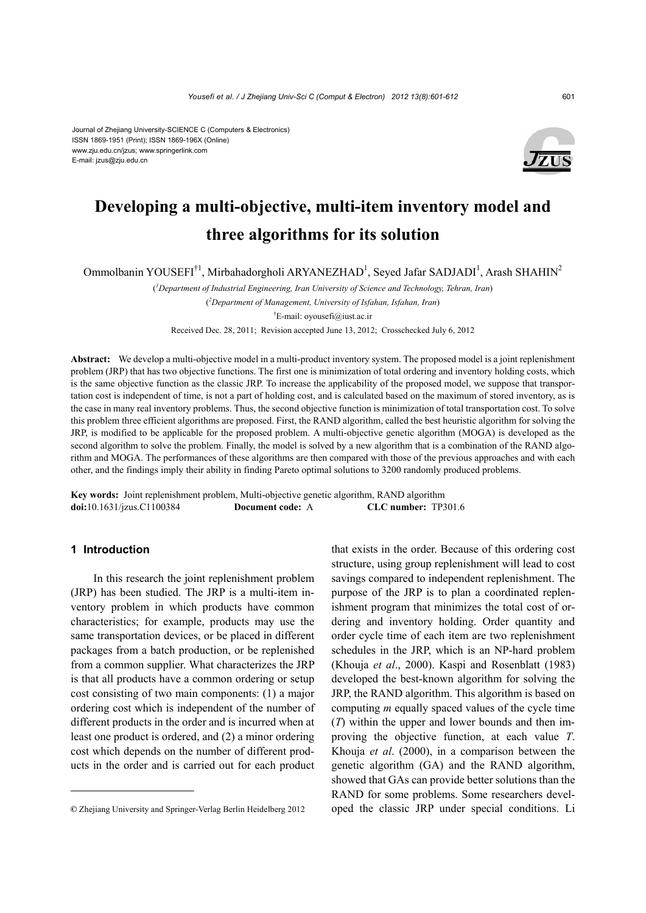#### Journal of Zhejiang University-SCIENCE C (Computers & Electronics) ISSN 1869-1951 (Print); ISSN 1869-196X (Online) www.zju.edu.cn/jzus; www.springerlink.com

E-mail: jzus@zju.edu.cn



# **Developing a multi-objective, multi-item inventory model and three algorithms for its solution**

Ommolbanin YOUSEFI<sup>†1</sup>, Mirbahadorgholi ARYANEZHAD<sup>1</sup>, Seyed Jafar SADJADI<sup>1</sup>, Arash SHAHIN<sup>2</sup>

( *1 Department of Industrial Engineering, Iran University of Science and Technology, Tehran, Iran*) ( *2 Department of Management, University of Isfahan, Isfahan, Iran*) † E-mail: oyousefi@iust.ac.ir

Received Dec. 28, 2011; Revision accepted June 13, 2012; Crosschecked July 6, 2012

**Abstract:** We develop a multi-objective model in a multi-product inventory system. The proposed model is a joint replenishment problem (JRP) that has two objective functions. The first one is minimization of total ordering and inventory holding costs, which is the same objective function as the classic JRP. To increase the applicability of the proposed model, we suppose that transportation cost is independent of time, is not a part of holding cost, and is calculated based on the maximum of stored inventory, as is the case in many real inventory problems. Thus, the second objective function is minimization of total transportation cost. To solve this problem three efficient algorithms are proposed. First, the RAND algorithm, called the best heuristic algorithm for solving the JRP, is modified to be applicable for the proposed problem. A multi-objective genetic algorithm (MOGA) is developed as the second algorithm to solve the problem. Finally, the model is solved by a new algorithm that is a combination of the RAND algorithm and MOGA. The performances of these algorithms are then compared with those of the previous approaches and with each other, and the findings imply their ability in finding Pareto optimal solutions to 3200 randomly produced problems.

**Key words:** Joint replenishment problem, Multi-objective genetic algorithm, RAND algorithm **doi:**10.1631/jzus.C1100384 **Document code:** A **CLC number:** TP301.6

# **1 Introduction**

In this research the joint replenishment problem (JRP) has been studied. The JRP is a multi-item inventory problem in which products have common characteristics; for example, products may use the same transportation devices, or be placed in different packages from a batch production, or be replenished from a common supplier. What characterizes the JRP is that all products have a common ordering or setup cost consisting of two main components: (1) a major ordering cost which is independent of the number of different products in the order and is incurred when at least one product is ordered, and (2) a minor ordering cost which depends on the number of different products in the order and is carried out for each product that exists in the order. Because of this ordering cost structure, using group replenishment will lead to cost savings compared to independent replenishment. The purpose of the JRP is to plan a coordinated replenishment program that minimizes the total cost of ordering and inventory holding. Order quantity and order cycle time of each item are two replenishment schedules in the JRP, which is an NP-hard problem (Khouja *et al*., 2000). Kaspi and Rosenblatt (1983) developed the best-known algorithm for solving the JRP, the RAND algorithm. This algorithm is based on computing *m* equally spaced values of the cycle time (*T*) within the upper and lower bounds and then improving the objective function, at each value *T*. Khouja *et al*. (2000), in a comparison between the genetic algorithm (GA) and the RAND algorithm, showed that GAs can provide better solutions than the RAND for some problems. Some researchers developed the classic JRP under special conditions. Li

**<sup>©</sup>** Zhejiang University and Springer-Verlag Berlin Heidelberg 2012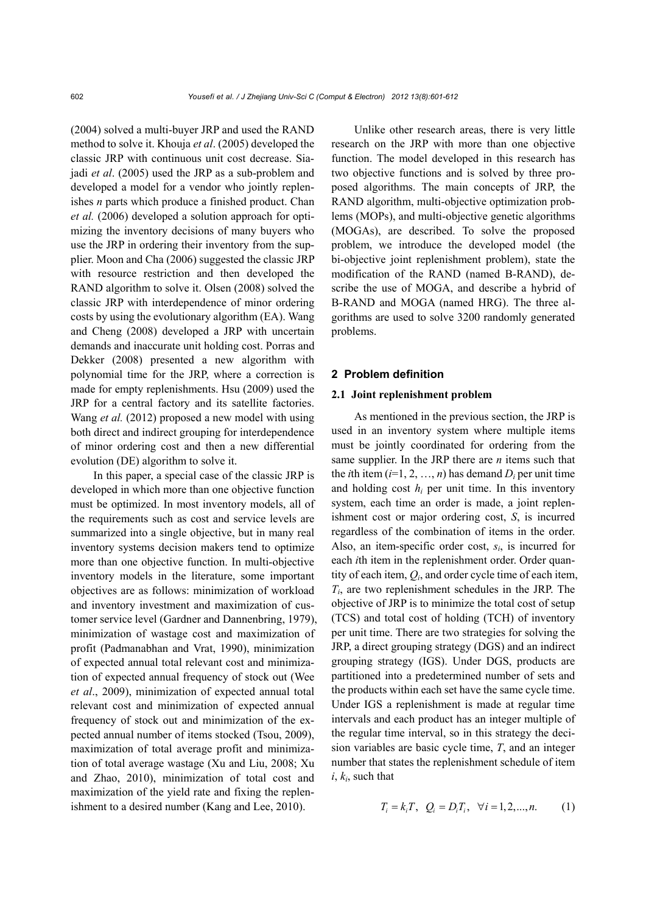(2004) solved a multi-buyer JRP and used the RAND method to solve it. Khouja *et al*. (2005) developed the classic JRP with continuous unit cost decrease. Siajadi *et al*. (2005) used the JRP as a sub-problem and developed a model for a vendor who jointly replenishes *n* parts which produce a finished product. Chan *et al.* (2006) developed a solution approach for optimizing the inventory decisions of many buyers who use the JRP in ordering their inventory from the supplier. Moon and Cha (2006) suggested the classic JRP with resource restriction and then developed the RAND algorithm to solve it. Olsen (2008) solved the classic JRP with interdependence of minor ordering costs by using the evolutionary algorithm (EA). Wang and Cheng (2008) developed a JRP with uncertain demands and inaccurate unit holding cost. Porras and Dekker (2008) presented a new algorithm with polynomial time for the JRP, where a correction is made for empty replenishments. Hsu (2009) used the JRP for a central factory and its satellite factories. Wang *et al.* (2012) proposed a new model with using both direct and indirect grouping for interdependence of minor ordering cost and then a new differential evolution (DE) algorithm to solve it.

In this paper, a special case of the classic JRP is developed in which more than one objective function must be optimized. In most inventory models, all of the requirements such as cost and service levels are summarized into a single objective, but in many real inventory systems decision makers tend to optimize more than one objective function. In multi-objective inventory models in the literature, some important objectives are as follows: minimization of workload and inventory investment and maximization of customer service level (Gardner and Dannenbring, 1979), minimization of wastage cost and maximization of profit (Padmanabhan and Vrat, 1990), minimization of expected annual total relevant cost and minimization of expected annual frequency of stock out (Wee *et al*., 2009), minimization of expected annual total relevant cost and minimization of expected annual frequency of stock out and minimization of the expected annual number of items stocked (Tsou, 2009), maximization of total average profit and minimization of total average wastage (Xu and Liu, 2008; Xu and Zhao, 2010), minimization of total cost and maximization of the yield rate and fixing the replenishment to a desired number (Kang and Lee, 2010).

Unlike other research areas, there is very little research on the JRP with more than one objective function. The model developed in this research has two objective functions and is solved by three proposed algorithms. The main concepts of JRP, the RAND algorithm, multi-objective optimization problems (MOPs), and multi-objective genetic algorithms (MOGAs), are described. To solve the proposed problem, we introduce the developed model (the bi-objective joint replenishment problem), state the modification of the RAND (named B-RAND), describe the use of MOGA, and describe a hybrid of B-RAND and MOGA (named HRG). The three algorithms are used to solve 3200 randomly generated problems.

# **2 Problem definition**

#### **2.1 Joint replenishment problem**

As mentioned in the previous section, the JRP is used in an inventory system where multiple items must be jointly coordinated for ordering from the same supplier. In the JRP there are *n* items such that the *i*th item  $(i=1, 2, ..., n)$  has demand  $D_i$  per unit time and holding cost  $h_i$  per unit time. In this inventory system, each time an order is made, a joint replenishment cost or major ordering cost, *S*, is incurred regardless of the combination of items in the order. Also, an item-specific order cost, *si*, is incurred for each *i*th item in the replenishment order. Order quantity of each item, *Qi*, and order cycle time of each item, *Ti*, are two replenishment schedules in the JRP. The objective of JRP is to minimize the total cost of setup (TCS) and total cost of holding (TCH) of inventory per unit time. There are two strategies for solving the JRP, a direct grouping strategy (DGS) and an indirect grouping strategy (IGS). Under DGS, products are partitioned into a predetermined number of sets and the products within each set have the same cycle time. Under IGS a replenishment is made at regular time intervals and each product has an integer multiple of the regular time interval, so in this strategy the decision variables are basic cycle time, *T*, and an integer number that states the replenishment schedule of item *i*, *ki*, such that

$$
T_i = k_i T, \ Q_i = D_i T_i, \ \forall i = 1, 2, ..., n. \tag{1}
$$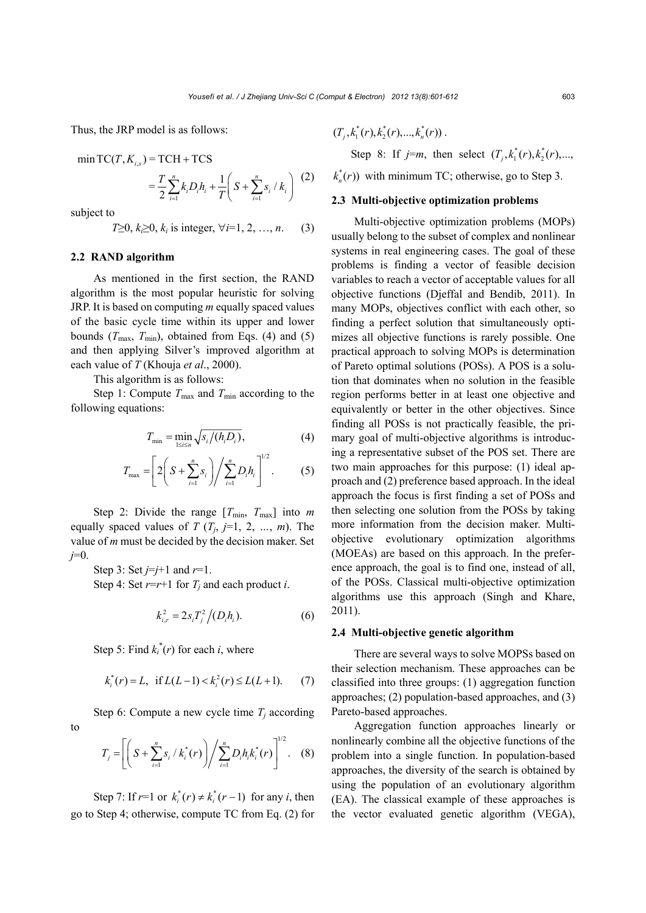Thus, the JRP model is as follows:

min TC(*T*, *K*<sub>*i,s*</sub>) = TCH + TCS  
= 
$$
\frac{T}{2} \sum_{i=1}^{n} k_i D_i h_i + \frac{1}{T} \left( S + \sum_{i=1}^{n} s_i / k_i \right)
$$
 (2)

subject to

$$
T \geq 0, k \geq 0, k_i \text{ is integer}, \forall i = 1, 2, ..., n. \tag{3}
$$

# **2.2 RAND algorithm**

As mentioned in the first section, the RAND algorithm is the most popular heuristic for solving JRP. It is based on computing *m* equally spaced values of the basic cycle time within its upper and lower bounds  $(T_{\text{max}}, T_{\text{min}})$ , obtained from Eqs. (4) and (5) and then applying Silver's improved algorithm at each value of *T* (Khouja *et al*., 2000).

This algorithm is as follows:

Step 1: Compute  $T_{\text{max}}$  and  $T_{\text{min}}$  according to the following equations:

$$
T_{\min} = \min_{1 \le i \le n} \sqrt{s_i / (h_i D_i)},\tag{4}
$$

$$
T_{\max} = \left[ 2 \left( S + \sum_{i=1}^{n} s_i \right) \middle/ \sum_{i=1}^{n} D_i h_i \right]^{1/2}.
$$
 (5)

Step 2: Divide the range  $[T_{min}, T_{max}]$  into *m* equally spaced values of  $T(T_i, j=1, 2, ..., m)$ . The value of *m* must be decided by the decision maker. Set *j*=0.

Step 3: Set  $j=j+1$  and  $r=1$ . Step 4: Set  $r=r+1$  for  $T_i$  and each product *i*.

$$
k_{i,r}^2 = 2s_i T_j^2 / (D_i h_i). \tag{6}
$$

Step 5: Find  $k_i^*(r)$  for each *i*, where

$$
k_i^*(r) = L
$$
, if  $L(L-1) < k_i^2(r) \le L(L+1)$ . (7)

Step 6: Compute a new cycle time  $T_i$  according to  $\sqrt{1/2}$ 

$$
T_j = \left[ \left( S + \sum_{i=1}^n s_i / k_i^*(r) \right) / \sum_{i=1}^n D_i h_i k_i^*(r) \right]^{1/2} . \quad (8)
$$

Step 7: If  $r=1$  or  $k_i^*(r) \neq k_i^*(r-1)$  for any *i*, then go to Step 4; otherwise, compute TC from Eq. (2) for

$$
(T_{i}, k_{1}^{*}(r), k_{2}^{*}(r), ..., k_{n}^{*}(r)).
$$

Step 8: If  $j=m$ , then select  $(T_i, k_1^*(r), k_2^*(r),...$ 

 $k_n^*(r)$ ) with minimum TC; otherwise, go to Step 3.

#### **2.3 Multi-objective optimization problems**

Multi-objective optimization problems (MOPs) usually belong to the subset of complex and nonlinear systems in real engineering cases. The goal of these problems is finding a vector of feasible decision variables to reach a vector of acceptable values for all objective functions (Djeffal and Bendib, 2011). In many MOPs, objectives conflict with each other, so finding a perfect solution that simultaneously optimizes all objective functions is rarely possible. One practical approach to solving MOPs is determination of Pareto optimal solutions (POSs). A POS is a solution that dominates when no solution in the feasible region performs better in at least one objective and equivalently or better in the other objectives. Since finding all POSs is not practically feasible, the primary goal of multi-objective algorithms is introducing a representative subset of the POS set. There are two main approaches for this purpose: (1) ideal approach and (2) preference based approach. In the ideal approach the focus is first finding a set of POSs and then selecting one solution from the POSs by taking more information from the decision maker. Multiobjective evolutionary optimization algorithms (MOEAs) are based on this approach. In the preference approach, the goal is to find one, instead of all, of the POSs. Classical multi-objective optimization algorithms use this approach (Singh and Khare, 2011).

## **2.4 Multi-objective genetic algorithm**

There are several ways to solve MOPSs based on their selection mechanism. These approaches can be classified into three groups: (1) aggregation function approaches; (2) population-based approaches, and (3) Pareto-based approaches.

Aggregation function approaches linearly or nonlinearly combine all the objective functions of the problem into a single function. In population-based approaches, the diversity of the search is obtained by using the population of an evolutionary algorithm (EA). The classical example of these approaches is the vector evaluated genetic algorithm (VEGA),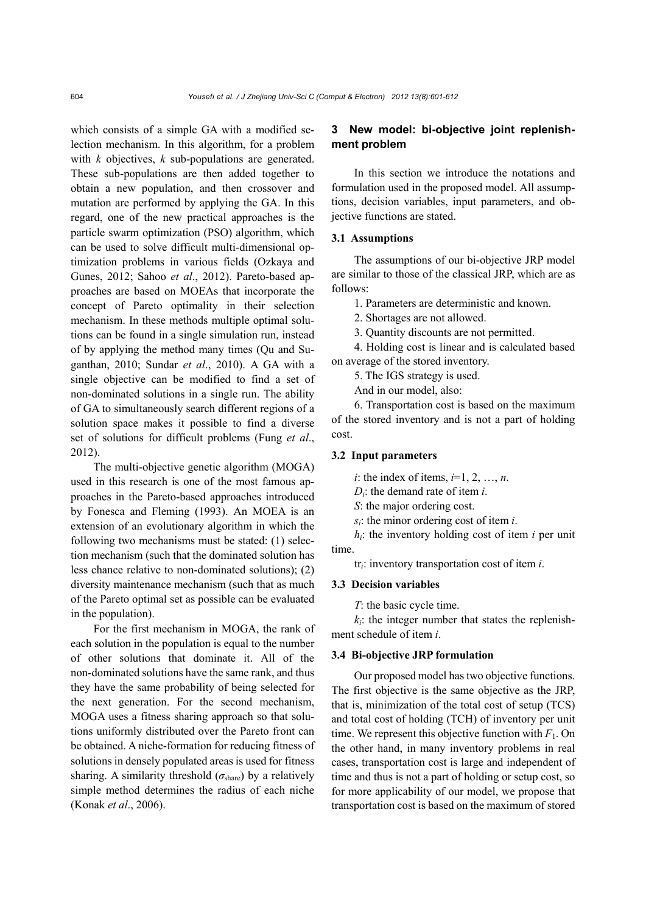which consists of a simple GA with a modified selection mechanism. In this algorithm, for a problem with *k* objectives, *k* sub-populations are generated. These sub-populations are then added together to obtain a new population, and then crossover and mutation are performed by applying the GA. In this regard, one of the new practical approaches is the particle swarm optimization (PSO) algorithm, which can be used to solve difficult multi-dimensional optimization problems in various fields (Ozkaya and Gunes, 2012; Sahoo *et al*., 2012). Pareto-based approaches are based on MOEAs that incorporate the concept of Pareto optimality in their selection mechanism. In these methods multiple optimal solutions can be found in a single simulation run, instead of by applying the method many times (Qu and Suganthan, 2010; Sundar *et al*., 2010). A GA with a single objective can be modified to find a set of non-dominated solutions in a single run. The ability of GA to simultaneously search different regions of a solution space makes it possible to find a diverse set of solutions for difficult problems (Fung *et al*., 2012).

The multi-objective genetic algorithm (MOGA) used in this research is one of the most famous approaches in the Pareto-based approaches introduced by Fonesca and Fleming (1993). An MOEA is an extension of an evolutionary algorithm in which the following two mechanisms must be stated: (1) selection mechanism (such that the dominated solution has less chance relative to non-dominated solutions); (2) diversity maintenance mechanism (such that as much of the Pareto optimal set as possible can be evaluated in the population).

For the first mechanism in MOGA, the rank of each solution in the population is equal to the number of other solutions that dominate it. All of the non-dominated solutions have the same rank, and thus they have the same probability of being selected for the next generation. For the second mechanism, MOGA uses a fitness sharing approach so that solutions uniformly distributed over the Pareto front can be obtained. A niche-formation for reducing fitness of solutions in densely populated areas is used for fitness sharing. A similarity threshold  $(\sigma_{\text{share}})$  by a relatively simple method determines the radius of each niche (Konak *et al*., 2006).

# **3 New model: bi-objective joint replenishment problem**

In this section we introduce the notations and formulation used in the proposed model. All assumptions, decision variables, input parameters, and objective functions are stated.

#### **3.1 Assumptions**

The assumptions of our bi-objective JRP model are similar to those of the classical JRP, which are as follows:

1. Parameters are deterministic and known.

2. Shortages are not allowed.

3. Quantity discounts are not permitted.

4. Holding cost is linear and is calculated based on average of the stored inventory.

5. The IGS strategy is used.

And in our model, also:

6. Transportation cost is based on the maximum of the stored inventory and is not a part of holding cost.

# **3.2 Input parameters**

*i*: the index of items, *i*=1, 2, …, *n*.

*Di*: the demand rate of item *i*.

*S*: the major ordering cost.

*si*: the minor ordering cost of item *i*.

*hi*: the inventory holding cost of item *i* per unit time.

tr*i*: inventory transportation cost of item *i*.

#### **3.3 Decision variables**

*T*: the basic cycle time.

 $k<sub>i</sub>$ : the integer number that states the replenishment schedule of item *i*.

## **3.4 Bi-objective JRP formulation**

Our proposed model has two objective functions. The first objective is the same objective as the JRP, that is, minimization of the total cost of setup (TCS) and total cost of holding (TCH) of inventory per unit time. We represent this objective function with  $F_1$ . On the other hand, in many inventory problems in real cases, transportation cost is large and independent of time and thus is not a part of holding or setup cost, so for more applicability of our model, we propose that transportation cost is based on the maximum of stored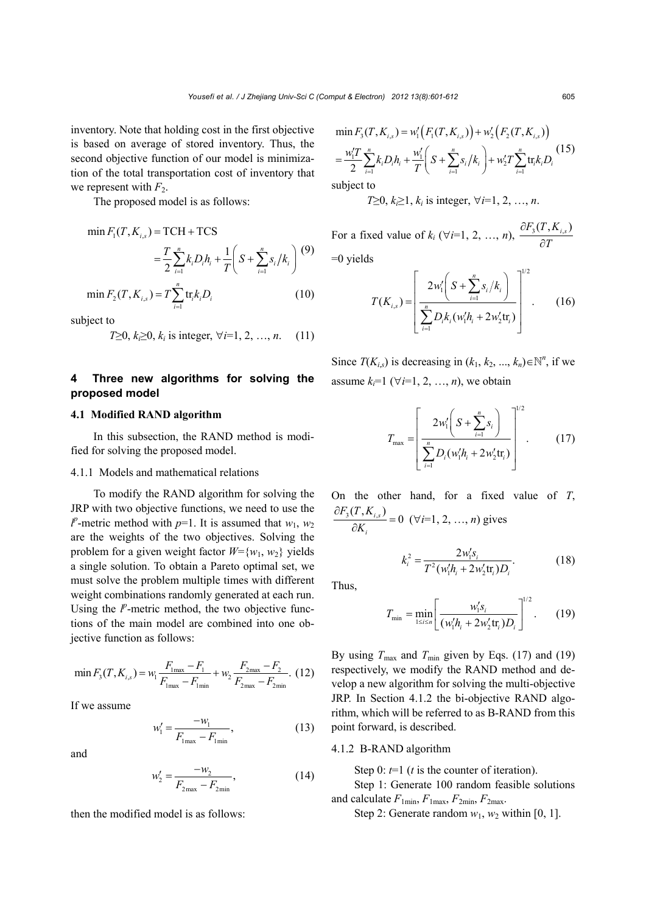inventory. Note that holding cost in the first objective is based on average of stored inventory. Thus, the second objective function of our model is minimization of the total transportation cost of inventory that we represent with  $F_2$ .

The proposed model is as follows:

$$
\min F_1(T, K_{i,s}) = TCH + TCS \n= \frac{T}{2} \sum_{i=1}^n k_i D_i h_i + \frac{1}{T} \left( S + \sum_{i=1}^n s_i / k_i \right) (9)
$$

$$
\min F_2(T, K_{i,s}) = T \sum_{i=1}^n \text{tr}_i k_i D_i \tag{10}
$$

subject to

$$
T \geq 0, k_i \geq 0, k_i \text{ is integer}, \forall i=1, 2, ..., n. \quad (11)
$$

# **4 Three new algorithms for solving the proposed model**

#### **4.1 Modified RAND algorithm**

In this subsection, the RAND method is modified for solving the proposed model.

## 4.1.1 Models and mathematical relations

To modify the RAND algorithm for solving the JRP with two objective functions, we need to use the  $l^p$ -metric method with *p*=1. It is assumed that *w*<sub>1</sub>, *w*<sub>2</sub> are the weights of the two objectives. Solving the problem for a given weight factor  $W = \{w_1, w_2\}$  yields a single solution. To obtain a Pareto optimal set, we must solve the problem multiple times with different weight combinations randomly generated at each run. Using the  $l^p$ -metric method, the two objective functions of the main model are combined into one objective function as follows:

$$
\min F_{3}(T, K_{i,s}) = w_{1} \frac{F_{1\max} - F_{1}}{F_{1\max} - F_{1\min}} + w_{2} \frac{F_{2\max} - F_{2}}{F_{2\max} - F_{2\min}}.
$$
(12)

If we assume

$$
w_1' = \frac{-w_1}{F_{1\text{max}} - F_{1\text{min}}},
$$
\n(13)

and

$$
w_2' = \frac{-w_2}{F_{2\max} - F_{2\min}},
$$
\n(14)

then the modified model is as follows:

$$
\min F_3(T, K_{i,s}) = w'_1 \Big( F_1(T, K_{i,s}) \Big) + w'_2 \Big( F_2(T, K_{i,s}) \Big)
$$
  
= 
$$
\frac{w'_1 T}{2} \sum_{i=1}^n k_i D_i h_i + \frac{w'_1}{T} \Big( S + \sum_{i=1}^n s_i / k_i \Big) + w'_2 T \sum_{i=1}^n \text{tr}_i k_i D_i \Big)^{(15)}
$$

subject to

$$
T \ge 0, k \ge 1, k_i
$$
 is integer,  $\forall i=1, 2, ..., n$ .

For a fixed value of  $k_i$  ( $\forall i=1, 2, ..., n$ ),  $\frac{\partial F_3(T, K_{i,s})}{\partial T}$  $\hat{o}$  $\hat{c}$  $=0$  yields

$$
T(K_{i,s}) = \left[ \frac{2w'_1 \left( S + \sum_{i=1}^n s_i / k_i \right)}{\sum_{i=1}^n D_i k_i (w'_1 h_i + 2w'_2 \text{tr}_i)} \right]^{1/2}.
$$
 (16)

Since  $T(K_{i,s})$  is decreasing in  $(k_1, k_2, ..., k_n) \in \mathbb{N}^n$ , if we assume  $k_i=1$  ( $\forall i=1, 2, ..., n$ ), we obtain

$$
T_{\max} = \left[ \frac{2w'_1 \left( S + \sum_{i=1}^n s_i \right)}{\sum_{i=1}^n D_i (w'_i h_i + 2w'_2 \text{tr}_i)} \right]^{1/2} . \tag{17}
$$

On the other hand, for a fixed value of *T*,  $\frac{\sum_{3}^{3}(T, K_{i,s})}{2} = 0$ *i*  $F_3(T,K)$  $\frac{\partial F_3(T, K_{i,s})}{\partial K_i}$  = 0 ( $\forall i$ =1, 2, ..., *n*) gives

$$
k_i^2 = \frac{2w_1's_i}{T^2(w_1'h_i + 2w_2'tt_i)D_i}.
$$
 (18)

Thus,

$$
T_{\min} = \min_{1 \le i \le n} \left[ \frac{w'_i s_i}{(w'_i h_i + 2w'_2 \text{tr}_i) D_i} \right]^{1/2}.
$$
 (19)

By using  $T_{\text{max}}$  and  $T_{\text{min}}$  given by Eqs. (17) and (19) respectively, we modify the RAND method and develop a new algorithm for solving the multi-objective JRP. In Section 4.1.2 the bi-objective RAND algorithm, which will be referred to as B-RAND from this point forward, is described.

## 4.1.2 B-RAND algorithm

Step 0:  $t=1$  (*t* is the counter of iteration).

Step 1: Generate 100 random feasible solutions and calculate  $F_{1min}$ ,  $F_{1max}$ ,  $F_{2min}$ ,  $F_{2max}$ .

Step 2: Generate random  $w_1$ ,  $w_2$  within [0, 1].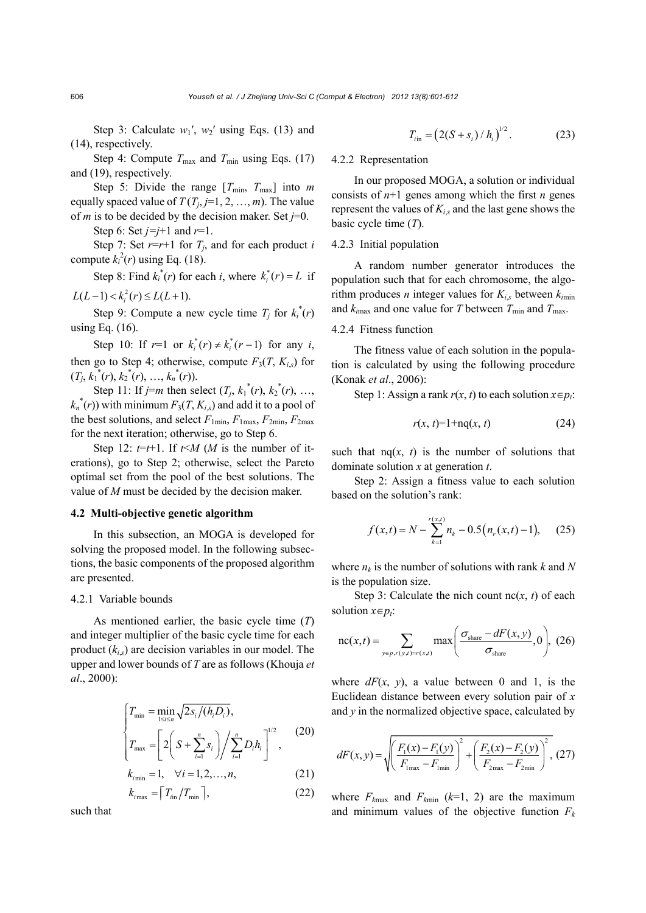Step 3: Calculate  $w_1'$ ,  $w_2'$  using Eqs. (13) and (14), respectively.

Step 4: Compute  $T_{\text{max}}$  and  $T_{\text{min}}$  using Eqs. (17) and (19), respectively.

Step 5: Divide the range  $[T_{\text{min}}, T_{\text{max}}]$  into *m* equally spaced value of  $T(T_i, j=1, 2, ..., m)$ . The value of *m* is to be decided by the decision maker. Set  $j=0$ .

Step 6: Set *j=j*+1 and *r*=1.

Step 7: Set  $r=r+1$  for  $T_i$ , and for each product *i* compute  $k_i^2(r)$  using Eq. (18).

Step 8: Find  $k_i^*(r)$  for each *i*, where  $k_i^*(r) = L$  if  $L(L-1) < k_i^2(r) \le L(L+1).$ 

Step 9: Compute a new cycle time  $T_j$  for  $k_i^*(r)$ using Eq. (16).

Step 10: If  $r=1$  or  $k_i^*(r) \neq k_i^*(r-1)$  for any *i*, then go to Step 4; otherwise, compute  $F_3(T, K_{is})$  for  $(T_j, k_1^*(r), k_2^*(r), \ldots, k_n^*(r)).$ 

Step 11: If *j*=*m* then select  $(T_j, k_1^*(r), k_2^*(r), ...,$  $k_n^*(r)$ ) with minimum  $F_3(T, K_{i,s})$  and add it to a pool of the best solutions, and select  $F_{1min}$ ,  $F_{1max}$ ,  $F_{2min}$ ,  $F_{2max}$ for the next iteration; otherwise, go to Step 6.

Step 12:  $t=t+1$ . If  $t \le M$  (*M* is the number of iterations), go to Step 2; otherwise, select the Pareto optimal set from the pool of the best solutions. The value of *M* must be decided by the decision maker.

#### **4.2 Multi-objective genetic algorithm**

In this subsection, an MOGA is developed for solving the proposed model. In the following subsections, the basic components of the proposed algorithm are presented.

# 4.2.1 Variable bounds

As mentioned earlier, the basic cycle time (*T*) and integer multiplier of the basic cycle time for each product (*ki*,*s*) are decision variables in our model. The upper and lower bounds of *T* are as follows (Khouja *et al*., 2000):

$$
\begin{cases}\nT_{\min} = \min_{1 \le i \le n} \sqrt{2s_i/(h_i D_i)}, \\
T_{\max} = \left[2\left(S + \sum_{i=1}^n s_i\right) / \sum_{i=1}^n D_i h_i\right]^{1/2},\n\end{cases} (20)
$$

$$
k_{i_{\min}} = 1, \quad \forall i = 1, 2, ..., n,
$$
 (21)

$$
k_{i\max} = \left\lceil T_{i\text{in}} / T_{\min} \right\rceil,\tag{22}
$$

such that

$$
T_{\text{lin}} = \left(2(S + s_i) / h_i\right)^{1/2}.
$$
 (23)

# 4.2.2 Representation

In our proposed MOGA, a solution or individual consists of  $n+1$  genes among which the first *n* genes represent the values of  $K_{i,s}$  and the last gene shows the basic cycle time (*T*).

# 4.2.3 Initial population

A random number generator introduces the population such that for each chromosome, the algorithm produces *n* integer values for  $K_i$ , between  $k_{imin}$ and  $k_{i\text{max}}$  and one value for *T* between  $T_{\text{min}}$  and  $T_{\text{max}}$ .

# 4.2.4 Fitness function

The fitness value of each solution in the population is calculated by using the following procedure (Konak *et al*., 2006):

Step 1: Assign a rank  $r(x, t)$  to each solution  $x \in p_t$ .

$$
r(x, t)=1+nq(x, t) \tag{24}
$$

such that  $nq(x, t)$  is the number of solutions that dominate solution *x* at generation *t*.

Step 2: Assign a fitness value to each solution based on the solution's rank:

$$
f(x,t) = N - \sum_{k=1}^{r(x,t)} n_k - 0.5(n_r(x,t) - 1), \quad (25)
$$

where  $n_k$  is the number of solutions with rank  $k$  and  $N$ is the population size.

Step 3: Calculate the nich count  $nc(x, t)$  of each solution  $x \in p_t$ :

$$
nc(x,t) = \sum_{y \in p, r(y,t)=r(x,t)} max\left(\frac{\sigma_{share} - dF(x,y)}{\sigma_{share}}, 0\right), (26)
$$

where  $dF(x, y)$ , a value between 0 and 1, is the Euclidean distance between every solution pair of *x* and *y* in the normalized objective space, calculated by

$$
dF(x, y) = \sqrt{\left(\frac{F_1(x) - F_1(y)}{F_{\text{1max}} - F_{\text{1min}}}\right)^2 + \left(\frac{F_2(x) - F_2(y)}{F_{\text{2max}} - F_{\text{2min}}}\right)^2},
$$
(27)

where  $F_{kmax}$  and  $F_{kmin}$  ( $k=1, 2$ ) are the maximum and minimum values of the objective function  $F_k$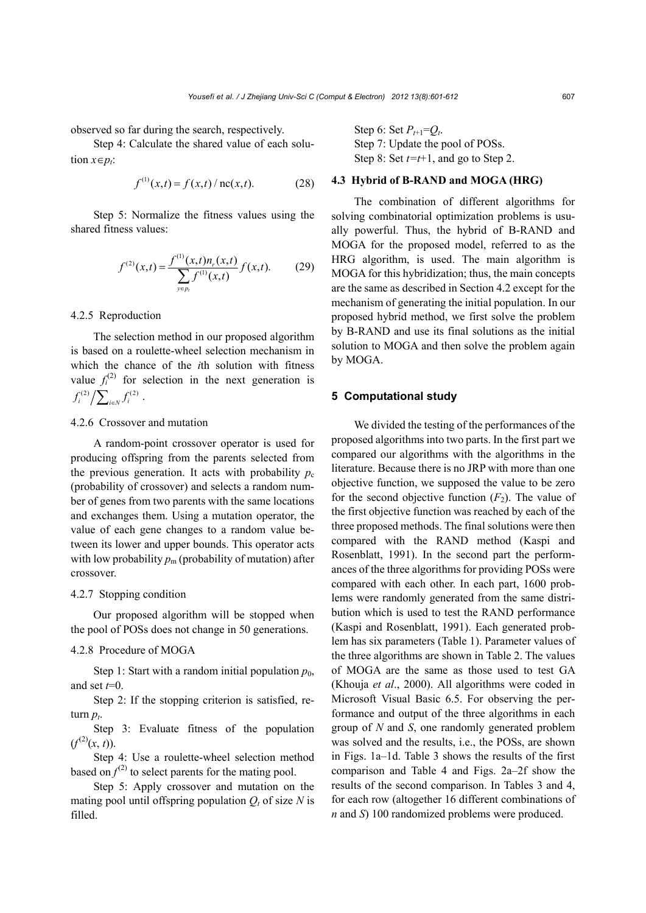observed so far during the search, respectively.

Step 4: Calculate the shared value of each solution  $x \in p_t$ :

$$
f^{(1)}(x,t) = f(x,t) / \operatorname{nc}(x,t). \tag{28}
$$

Step 5: Normalize the fitness values using the shared fitness values:

$$
f^{(2)}(x,t) = \frac{f^{(1)}(x,t)n_r(x,t)}{\sum_{y \in p_t} f^{(1)}(x,t)} f(x,t).
$$
 (29)

# 4.2.5 Reproduction

The selection method in our proposed algorithm is based on a roulette-wheel selection mechanism in which the chance of the *i*th solution with fitness value  $f_i^{(2)}$  for selection in the next generation is  $f_i^{(2)} / \sum_{i \in N} f_i^{(2)}$ .

# 4.2.6 Crossover and mutation

A random-point crossover operator is used for producing offspring from the parents selected from the previous generation. It acts with probability  $p_c$ (probability of crossover) and selects a random number of genes from two parents with the same locations and exchanges them. Using a mutation operator, the value of each gene changes to a random value between its lower and upper bounds. This operator acts with low probability  $p_m$  (probability of mutation) after crossover.

## 4.2.7 Stopping condition

Our proposed algorithm will be stopped when the pool of POSs does not change in 50 generations.

## 4.2.8 Procedure of MOGA

Step 1: Start with a random initial population  $p_0$ , and set *t*=0.

Step 2: If the stopping criterion is satisfied, return  $p_t$ .

Step 3: Evaluate fitness of the population  $(f^{(2)}(x, t)).$ 

Step 4: Use a roulette-wheel selection method based on  $f^{(2)}$  to select parents for the mating pool.

Step 5: Apply crossover and mutation on the mating pool until offspring population  $Q_t$  of size N is filled.

Step 6: Set  $P_{t+1} = Q_t$ . Step 7: Update the pool of POSs. Step 8: Set *t=t*+1, and go to Step 2.

# **4.3 Hybrid of B-RAND and MOGA (HRG)**

The combination of different algorithms for solving combinatorial optimization problems is usually powerful. Thus, the hybrid of B-RAND and MOGA for the proposed model, referred to as the HRG algorithm, is used. The main algorithm is MOGA for this hybridization; thus, the main concepts are the same as described in Section 4.2 except for the mechanism of generating the initial population. In our proposed hybrid method, we first solve the problem by B-RAND and use its final solutions as the initial solution to MOGA and then solve the problem again by MOGA.

# **5 Computational study**

We divided the testing of the performances of the proposed algorithms into two parts. In the first part we compared our algorithms with the algorithms in the literature. Because there is no JRP with more than one objective function, we supposed the value to be zero for the second objective function  $(F_2)$ . The value of the first objective function was reached by each of the three proposed methods. The final solutions were then compared with the RAND method (Kaspi and Rosenblatt, 1991). In the second part the performances of the three algorithms for providing POSs were compared with each other. In each part, 1600 problems were randomly generated from the same distribution which is used to test the RAND performance (Kaspi and Rosenblatt, 1991). Each generated problem has six parameters (Table 1). Parameter values of the three algorithms are shown in Table 2. The values of MOGA are the same as those used to test GA (Khouja *et al*., 2000). All algorithms were coded in Microsoft Visual Basic 6.5. For observing the performance and output of the three algorithms in each group of *N* and *S*, one randomly generated problem was solved and the results, i.e., the POSs, are shown in Figs. 1a–1d. Table 3 shows the results of the first comparison and Table 4 and Figs. 2a–2f show the results of the second comparison. In Tables 3 and 4, for each row (altogether 16 different combinations of *n* and *S*) 100 randomized problems were produced.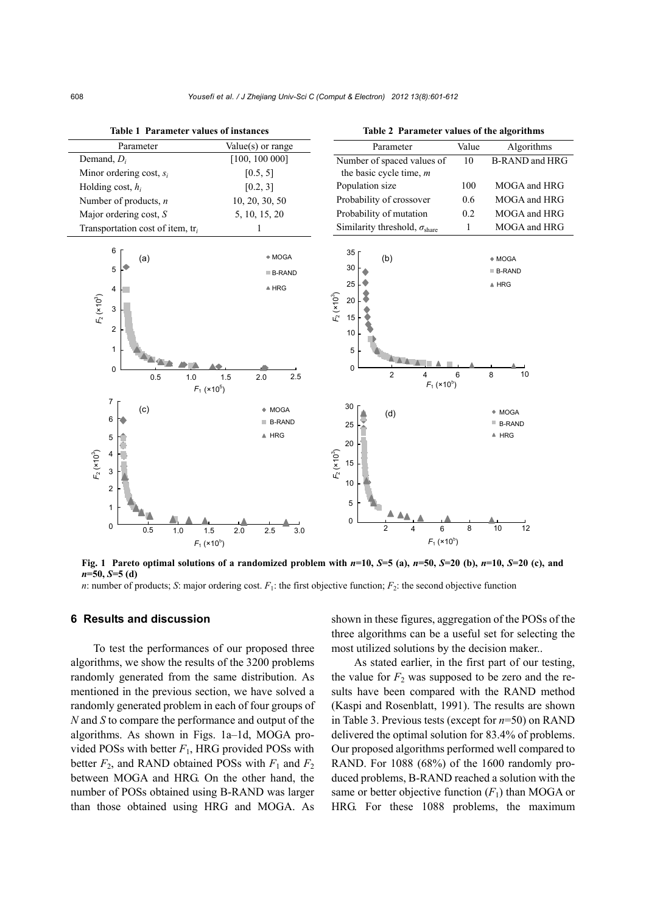

**Fig. 1** Pareto optimal solutions of a randomized problem with  $n=10$ ,  $S=5$  (a),  $n=50$ ,  $S=20$  (b),  $n=10$ ,  $S=20$  (c), and *n***=50,** *S***=5 (d)** 

# *n*: number of products; *S*: major ordering cost. *F*<sub>1</sub>: the first objective function; *F*<sub>2</sub>: the second objective function

#### **6 Results and discussion**

To test the performances of our proposed three algorithms, we show the results of the 3200 problems randomly generated from the same distribution. As mentioned in the previous section, we have solved a randomly generated problem in each of four groups of *N* and *S* to compare the performance and output of the algorithms. As shown in Figs. 1a–1d, MOGA provided POSs with better  $F_1$ , HRG provided POSs with better  $F_2$ , and RAND obtained POSs with  $F_1$  and  $F_2$ between MOGA and HRG. On the other hand, the number of POSs obtained using B-RAND was larger than those obtained using HRG and MOGA. As

shown in these figures, aggregation of the POSs of the three algorithms can be a useful set for selecting the most utilized solutions by the decision maker..

As stated earlier, in the first part of our testing, the value for  $F_2$  was supposed to be zero and the results have been compared with the RAND method (Kaspi and Rosenblatt, 1991). The results are shown in Table 3. Previous tests (except for *n*=50) on RAND delivered the optimal solution for 83.4% of problems. Our proposed algorithms performed well compared to RAND. For 1088 (68%) of the 1600 randomly produced problems, B-RAND reached a solution with the same or better objective function  $(F_1)$  than MOGA or HRG. For these 1088 problems, the maximum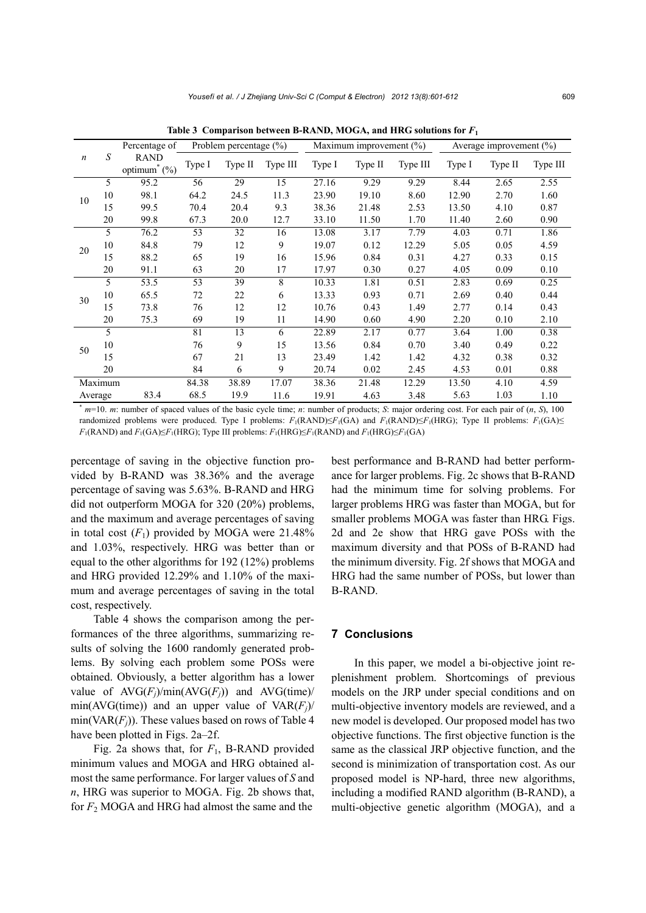| $\boldsymbol{n}$ | S  | Percentage of                                                                                                                               | Problem percentage $(\% )$ |         |          | Maximum improvement $(\%)$ |         |          | Average improvement $(\% )$ |         |          |
|------------------|----|---------------------------------------------------------------------------------------------------------------------------------------------|----------------------------|---------|----------|----------------------------|---------|----------|-----------------------------|---------|----------|
|                  |    | <b>RAND</b><br>optimum <sup><math>*</math></sup> (%)                                                                                        | Type I                     | Type II | Type III | Type I                     | Type II | Type III | Type I                      | Type II | Type III |
| 10               | 5  | 95.2                                                                                                                                        | 56                         | 29      | 15       | 27.16                      | 9.29    | 9.29     | 8.44                        | 2.65    | 2.55     |
|                  | 10 | 98.1                                                                                                                                        | 64.2                       | 24.5    | 11.3     | 23.90                      | 19.10   | 8.60     | 12.90                       | 2.70    | 1.60     |
|                  | 15 | 99.5                                                                                                                                        | 70.4                       | 20.4    | 9.3      | 38.36                      | 21.48   | 2.53     | 13.50                       | 4.10    | 0.87     |
|                  | 20 | 99.8                                                                                                                                        | 67.3                       | 20.0    | 12.7     | 33.10                      | 11.50   | 1.70     | 11.40                       | 2.60    | 0.90     |
| 20               | 5  | 76.2                                                                                                                                        | 53                         | 32      | 16       | 13.08                      | 3.17    | 7.79     | 4.03                        | 0.71    | 1.86     |
|                  | 10 | 84.8                                                                                                                                        | 79                         | 12      | 9        | 19.07                      | 0.12    | 12.29    | 5.05                        | 0.05    | 4.59     |
|                  | 15 | 88.2                                                                                                                                        | 65                         | 19      | 16       | 15.96                      | 0.84    | 0.31     | 4.27                        | 0.33    | 0.15     |
|                  | 20 | 91.1                                                                                                                                        | 63                         | 20      | 17       | 17.97                      | 0.30    | 0.27     | 4.05                        | 0.09    | 0.10     |
| 30               | 5  | 53.5                                                                                                                                        | 53                         | 39      | 8        | 10.33                      | 1.81    | 0.51     | 2.83                        | 0.69    | 0.25     |
|                  | 10 | 65.5                                                                                                                                        | 72                         | 22      | 6        | 13.33                      | 0.93    | 0.71     | 2.69                        | 0.40    | 0.44     |
|                  | 15 | 73.8                                                                                                                                        | 76                         | 12      | 12       | 10.76                      | 0.43    | 1.49     | 2.77                        | 0.14    | 0.43     |
|                  | 20 | 75.3                                                                                                                                        | 69                         | 19      | 11       | 14.90                      | 0.60    | 4.90     | 2.20                        | 0.10    | 2.10     |
|                  | 5  |                                                                                                                                             | 81                         | 13      | 6        | 22.89                      | 2.17    | 0.77     | 3.64                        | 1.00    | 0.38     |
| 50               | 10 |                                                                                                                                             | 76                         | 9       | 15       | 13.56                      | 0.84    | 0.70     | 3.40                        | 0.49    | 0.22     |
|                  | 15 |                                                                                                                                             | 67                         | 21      | 13       | 23.49                      | 1.42    | 1.42     | 4.32                        | 0.38    | 0.32     |
|                  | 20 |                                                                                                                                             | 84                         | 6       | 9        | 20.74                      | 0.02    | 2.45     | 4.53                        | 0.01    | 0.88     |
| Maximum          |    |                                                                                                                                             | 84.38                      | 38.89   | 17.07    | 38.36                      | 21.48   | 12.29    | 13.50                       | 4.10    | 4.59     |
| Average          |    | 83.4                                                                                                                                        | 68.5                       | 19.9    | 11.6     | 19.91                      | 4.63    | 3.48     | 5.63                        | 1.03    | 1.10     |
|                  |    | $m=10$ . m: number of spaced values of the basic cycle time; n: number of products; S: major ordering cost. For each pair of $(n, S)$ , 100 |                            |         |          |                            |         |          |                             |         |          |

**Table 3 Comparison between B-RAND, MOGA, and HRG solutions for** *F***<sup>1</sup>**

randomized problems were produced. Type I problems:  $F_1(RAND) \leq F_1(GA)$  and  $F_1(RAND) \leq F_1(HRG)$ ; Type II problems:  $F_1(GA) \leq F_1(GA)$ *F*<sub>1</sub>(RAND) and *F*<sub>1</sub>(GA)≤*F*<sub>1</sub>(HRG); Type III problems: *F*<sub>1</sub>(HRG)≤*F*<sub>1</sub>(RAND) and *F*<sub>1</sub>(HRG)≤*F*<sub>1</sub>(GA)

percentage of saving in the objective function provided by B-RAND was 38.36% and the average percentage of saving was 5.63%. B-RAND and HRG did not outperform MOGA for 320 (20%) problems, and the maximum and average percentages of saving in total cost  $(F_1)$  provided by MOGA were 21.48% and 1.03%, respectively. HRG was better than or equal to the other algorithms for 192 (12%) problems and HRG provided 12.29% and 1.10% of the maximum and average percentages of saving in the total cost, respectively.

Table 4 shows the comparison among the performances of the three algorithms, summarizing results of solving the 1600 randomly generated problems. By solving each problem some POSs were obtained. Obviously, a better algorithm has a lower value of  $AVG(F_i)/min(AVG(F_i))$  and  $AVG(time)/$ min(AVG(time)) and an upper value of  $VAR(F_i)$ / min( $VAR(F_i)$ ). These values based on rows of Table 4 have been plotted in Figs. 2a–2f.

Fig. 2a shows that, for *F*1, B-RAND provided minimum values and MOGA and HRG obtained almost the same performance. For larger values of *S* and *n*, HRG was superior to MOGA. Fig. 2b shows that, for *F*2 MOGA and HRG had almost the same and the

best performance and B-RAND had better performance for larger problems. Fig. 2c shows that B-RAND had the minimum time for solving problems. For larger problems HRG was faster than MOGA, but for smaller problems MOGA was faster than HRG. Figs. 2d and 2e show that HRG gave POSs with the maximum diversity and that POSs of B-RAND had the minimum diversity. Fig. 2f shows that MOGA and HRG had the same number of POSs, but lower than B-RAND.

# **7 Conclusions**

In this paper, we model a bi-objective joint replenishment problem. Shortcomings of previous models on the JRP under special conditions and on multi-objective inventory models are reviewed, and a new model is developed. Our proposed model has two objective functions. The first objective function is the same as the classical JRP objective function, and the second is minimization of transportation cost. As our proposed model is NP-hard, three new algorithms, including a modified RAND algorithm (B-RAND), a multi-objective genetic algorithm (MOGA), and a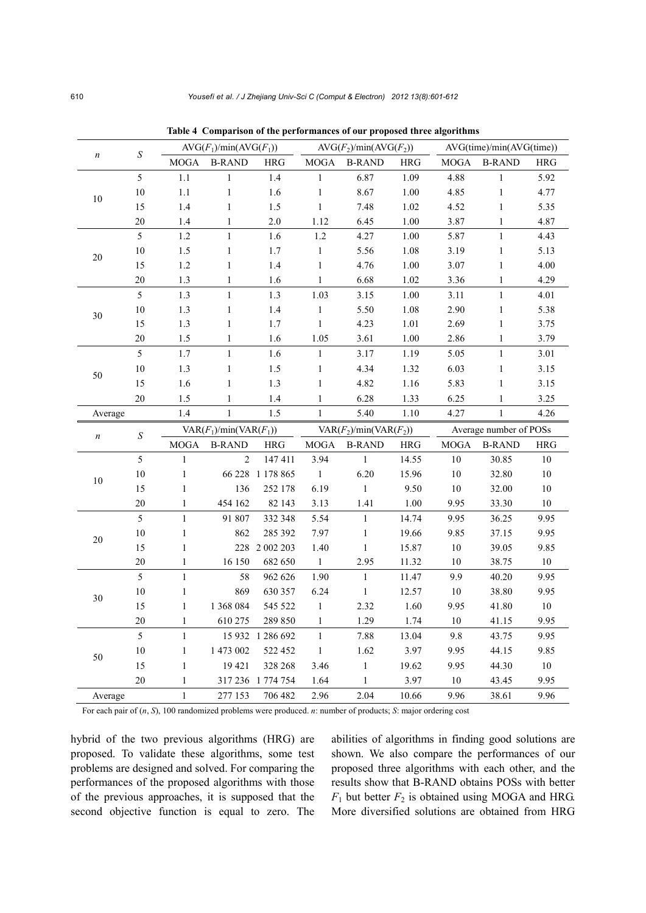|                  | $\boldsymbol{S}$ | $AVG(F_1)/min(AVG(F_1))$ |                          |                   | $AVG(F_2)/min(AVG(F_2))$ |                          |             | AVG(time)/min(AVG(time)) |               |            |
|------------------|------------------|--------------------------|--------------------------|-------------------|--------------------------|--------------------------|-------------|--------------------------|---------------|------------|
| $\boldsymbol{n}$ |                  | <b>MOGA</b>              | <b>B-RAND</b>            | <b>HRG</b>        | <b>MOGA</b>              | <b>B-RAND</b>            | <b>HRG</b>  | <b>MOGA</b>              | <b>B-RAND</b> | <b>HRG</b> |
|                  | 5                | $1.1\,$                  | $\mathbf{1}$             | $1.4$             | $\,1$                    | 6.87                     | 1.09        | 4.88                     | $\,1$         | 5.92       |
| $10\,$           | $10\,$           | $1.1\,$                  | $\mathbf{1}$             | 1.6               | $\,1$                    | 8.67                     | 1.00        | 4.85                     | $\,1$         | 4.77       |
|                  | 15               | 1.4                      | $\mathbf{1}$             | 1.5               | $\,1$                    | 7.48                     | 1.02        | 4.52                     | $\mathbf{1}$  | 5.35       |
|                  | $20\,$           | 1.4                      | $\mathbf{1}$             | $2.0$             | 1.12                     | 6.45                     | 1.00        | 3.87                     | $\mathbf{1}$  | 4.87       |
|                  | 5                | 1.2                      | $\mathbf{1}$             | 1.6               | 1.2                      | 4.27                     | 1.00        | 5.87                     | $\mathbf{1}$  | 4.43       |
| $20\,$           | $10\,$           | 1.5                      | $\,1\,$                  | $1.7\,$           | $\,1$                    | 5.56                     | $1.08\,$    | 3.19                     | $\,1$         | 5.13       |
|                  | 15               | 1.2                      | $\,1$                    | 1.4               | $\,1$                    | 4.76                     | 1.00        | 3.07                     | $\,1$         | 4.00       |
|                  | 20               | 1.3                      | $\mathbf{1}$             | 1.6               | $\mathbf{1}$             | 6.68                     | 1.02        | 3.36                     | $\,1$         | 4.29       |
|                  | 5                | 1.3                      | $\mathbf{1}$             | $1.3$             | 1.03                     | 3.15                     | 1.00        | 3.11                     | $\mathbf{1}$  | 4.01       |
| $30\,$           | $10\,$           | 1.3                      | $\,1$                    | 1.4               | $\,1$                    | 5.50                     | 1.08        | 2.90                     | $\,1$         | 5.38       |
|                  | 15               | 1.3                      | $\,1$                    | 1.7               | $\,1$                    | 4.23                     | 1.01        | 2.69                     | $\mathbf{1}$  | 3.75       |
|                  | 20               | 1.5                      | $\mathbf{1}$             | 1.6               | 1.05                     | 3.61                     | 1.00        | 2.86                     | $\mathbf{1}$  | 3.79       |
|                  | 5                | $1.7\,$                  | $\mathbf{1}$             | 1.6               | $\mathbf{1}$             | 3.17                     | 1.19        | 5.05                     | $\mathbf{1}$  | 3.01       |
|                  | $10\,$           | 1.3                      | $\,1$                    | 1.5               | $\,1$                    | 4.34                     | 1.32        | 6.03                     | $\mathbf{1}$  | 3.15       |
| 50               | 15               | 1.6                      | $\mathbf{1}$             | 1.3               | $\mathbf{1}$             | 4.82                     | $1.16\,$    | 5.83                     | $\,1$         | 3.15       |
|                  | 20               | 1.5                      | $\mathbf{1}$             | 1.4               | $\mathbf{1}$             | 6.28                     | 1.33        | 6.25                     | $\mathbf{1}$  | 3.25       |
| Average          |                  | 1.4                      | $\mathbf{1}$             | 1.5               | $\mathbf{1}$             | 5.40                     | $1.10\,$    | 4.27                     | $\mathbf{1}$  | 4.26       |
|                  |                  |                          |                          |                   |                          |                          |             | Average number of POSs   |               |            |
|                  |                  |                          | $VAR(F_1)/min(VAR(F_1))$ |                   |                          | $VAR(F_2)/min(VAR(F_2))$ |             |                          |               |            |
| $\boldsymbol{n}$ | $\boldsymbol{S}$ | <b>MOGA</b>              | <b>B-RAND</b>            | HRG               | $\rm MOGA$               | <b>B-RAND</b>            | ${\rm HRG}$ | <b>MOGA</b>              | <b>B-RAND</b> | <b>HRG</b> |
|                  | 5                | $\mathbf{1}$             | $\overline{2}$           | 147 411           | 3.94                     | $\,1\,$                  | 14.55       | $10\,$                   | 30.85         | $10\,$     |
|                  | $10\,$           | $\,1$                    |                          | 66 228 1 178 865  | $\,1\,$                  | 6.20                     | 15.96       | $10\,$                   | 32.80         | $10\,$     |
| $10\,$           | 15               | $\mathbf{1}$             | 136                      | 252 178           | 6.19                     | $\mathbf{1}$             | 9.50        | $10\,$                   | 32.00         | $10\,$     |
|                  | 20               | $\mathbf{1}$             | 454 162                  | 82 143            | 3.13                     | 1.41                     | $1.00\,$    | 9.95                     | 33.30         | $10\,$     |
|                  | 5                | $\mathbf{1}$             | 91 807                   | 332 348           | 5.54                     | $\,1\,$                  | 14.74       | 9.95                     | 36.25         | 9.95       |
|                  | $10\,$           | $\,1$                    | 862                      | 285 392           | 7.97                     | $\,1\,$                  | 19.66       | 9.85                     | 37.15         | 9.95       |
| $20\,$           | 15               | $\mathbf{1}$             |                          | 228 2002 203      | 1.40                     | $\,1\,$                  | 15.87       | $10\,$                   | 39.05         | 9.85       |
|                  | 20               | $\mathbf{1}$             | 16 150                   | 682 650           | $1\,$                    | 2.95                     | 11.32       | $10\,$                   | 38.75         | $10\,$     |
|                  | 5                | $\mathbf{1}$             | 58                       | 962 626           | 1.90                     | $\,1\,$                  | 11.47       | 9.9                      | 40.20         | 9.95       |
|                  | $10\,$           | $\mathbf{1}$             | 869                      | 630 357           | 6.24                     | $\mathbf{1}$             | 12.57       | $10\,$                   | 38.80         | 9.95       |
| $30\,$           | 15               | $\,1$                    | 1 368 084                | 545 522           | $\,1\,$                  | 2.32                     | 1.60        | 9.95                     | 41.80         | $10\,$     |
|                  | 20               | $\mathbf{1}$             | 610 275                  | 289 850           | $\mathbf{1}$             | 1.29                     | 1.74        | $10\,$                   | 41.15         | 9.95       |
|                  | 5                | $\mathbf{1}$             |                          | 15 932 1 286 692  | $\mathbf{1}$             | 7.88                     | 13.04       | $9.8\,$                  | 43.75         | 9.95       |
|                  | $10\,$           | $\mathbf{1}$             | 1 473 002                | 522 452           | $1\,$                    | 1.62                     | 3.97        | 9.95                     | 44.15         | 9.85       |
| 50               | 15               | $\mathbf{1}$             | 19 421                   | 328 268           | 3.46                     | $\,1\,$                  | 19.62       | 9.95                     | 44.30         | $10\,$     |
|                  | 20               | $\mathbf{1}$             |                          | 317 236 1 774 754 | 1.64                     | $\mathbf{1}$             | 3.97        | $10\,$                   | 43.45         | 9.95       |

**Table 4 Comparison of the performances of our proposed three algorithms**

For each pair of (*n*, *S*), 100 randomized problems were produced. *n*: number of products; *S*: major ordering cost

hybrid of the two previous algorithms (HRG) are proposed. To validate these algorithms, some test problems are designed and solved. For comparing the performances of the proposed algorithms with those of the previous approaches, it is supposed that the second objective function is equal to zero. The abilities of algorithms in finding good solutions are shown. We also compare the performances of our proposed three algorithms with each other, and the results show that B-RAND obtains POSs with better  $F_1$  but better  $F_2$  is obtained using MOGA and HRG. More diversified solutions are obtained from HRG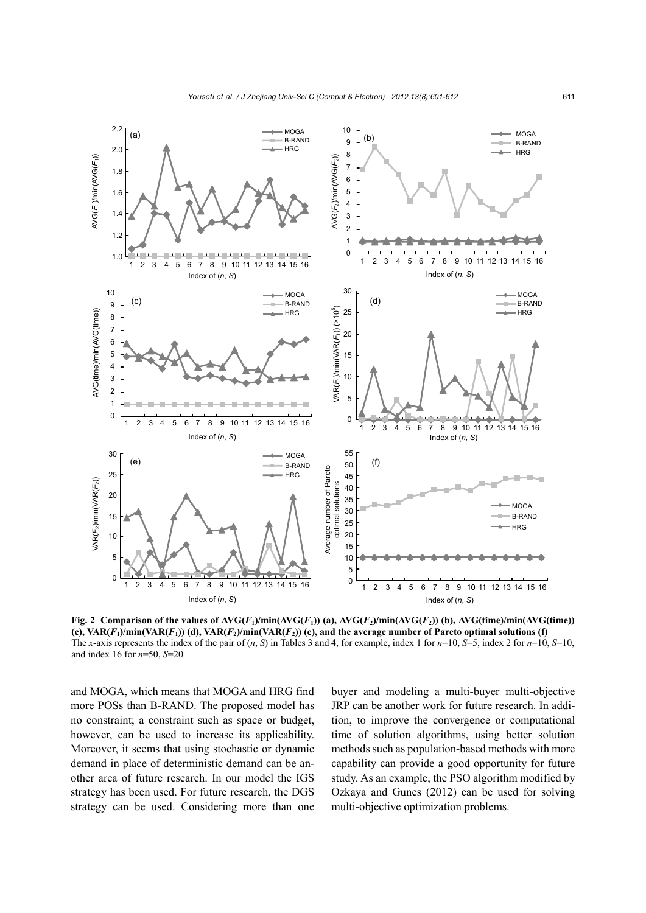

**Fig. 2** Comparison of the values of  $AVG(F_1)/min(AVG(F_1))$  (a),  $AVG(F_2)/min(AVG(F_2))$  (b),  $AVG(time)/min(AVG(time))$ **(c), VAR(***F***1)/min(VAR(***F***1)) (d), VAR(***F***2)/min(VAR(***F***2)) (e), and the average number of Pareto optimal solutions (f)**  The *x*-axis represents the index of the pair of (*n*, *S*) in Tables 3 and 4, for example, index 1 for *n*=10, *S*=5, index 2 for *n*=10, *S*=10, and index 16 for *n*=50, *S*=20

and MOGA, which means that MOGA and HRG find more POSs than B-RAND. The proposed model has no constraint; a constraint such as space or budget, however, can be used to increase its applicability. Moreover, it seems that using stochastic or dynamic demand in place of deterministic demand can be another area of future research. In our model the IGS strategy has been used. For future research, the DGS strategy can be used. Considering more than one buyer and modeling a multi-buyer multi-objective JRP can be another work for future research. In addition, to improve the convergence or computational time of solution algorithms, using better solution methods such as population-based methods with more capability can provide a good opportunity for future study. As an example, the PSO algorithm modified by Ozkaya and Gunes (2012) can be used for solving multi-objective optimization problems.